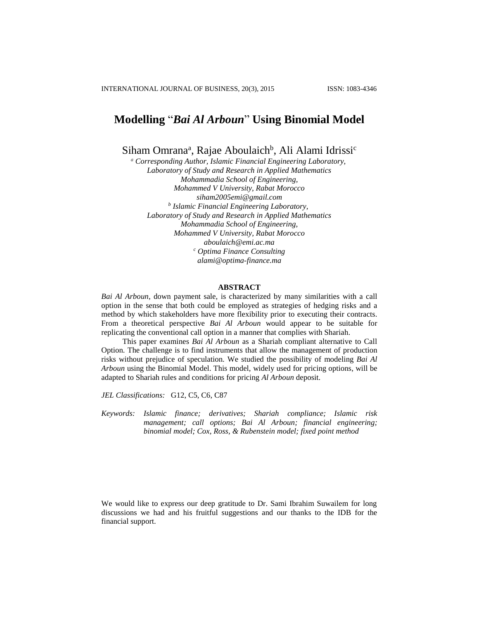# **Modelling** "*Bai Al Arboun*" **Using Binomial Model**

Siham Omrana<sup>a</sup>, Rajae Aboulaich<sup>b</sup>, Ali Alami Idrissi<sup>c</sup>

*<sup>a</sup> Corresponding Author, Islamic Financial Engineering Laboratory, Laboratory of Study and Research in Applied Mathematics Mohammadia School of Engineering, Mohammed V University, Rabat Morocco [siham2005emi@gmail.com](mailto:siham2005emi@gmail.com) b Islamic Financial Engineering Laboratory, Laboratory of Study and Research in Applied Mathematics Mohammadia School of Engineering, Mohammed V University, Rabat Morocco [aboulaich@emi.ac.ma](mailto:aboulaich@emi.ac.ma) <sup>c</sup> Optima Finance Consulting [alami@optima-finance.ma](mailto:alami@optima-finance.ma)*

#### **ABSTRACT**

*Bai Al Arboun*, down payment sale, is characterized by many similarities with a call option in the sense that both could be employed as strategies of hedging risks and a method by which stakeholders have more flexibility prior to executing their contracts. From a theoretical perspective *Bai Al Arboun* would appear to be suitable for replicating the conventional call option in a manner that complies with Shariah.

This paper examines *Bai Al Arboun* as a Shariah compliant alternative to Call Option. The challenge is to find instruments that allow the management of production risks without prejudice of speculation. We studied the possibility of modeling *Bai Al Arboun* using the Binomial Model. This model, widely used for pricing options, will be adapted to Shariah rules and conditions for pricing *Al Arboun* deposit.

*JEL Classifications:* G12, C5, C6, C87

*Keywords: Islamic finance; derivatives; Shariah compliance; Islamic risk management; call options; Bai Al Arboun; financial engineering; binomial model; Cox, Ross, & Rubenstein model; fixed point method*

We would like to express our deep gratitude to Dr. Sami Ibrahim Suwailem for long discussions we had and his fruitful suggestions and our thanks to the IDB for the financial support.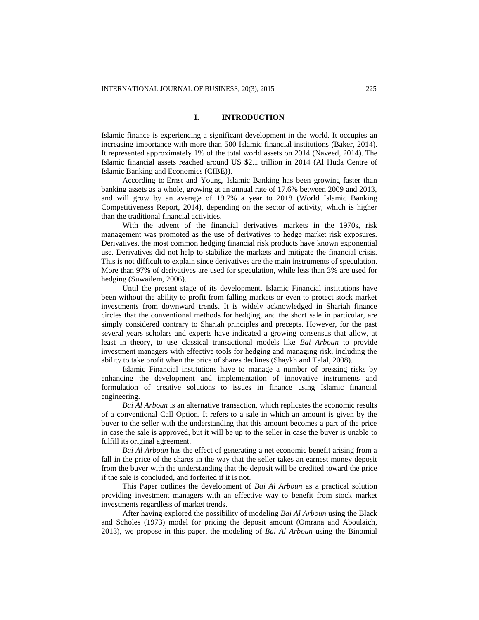# **I. INTRODUCTION**

Islamic finance is experiencing a significant development in the world. It occupies an increasing importance with more than 500 Islamic financial institutions (Baker, 2014). It represented approximately 1% of the total world assets on 2014 (Naveed, 2014). The Islamic financial assets reached around US \$2.1 trillion in 2014 (Al Huda Centre of Islamic Banking and Economics (CIBE)).

According to Ernst and Young, Islamic Banking has been growing faster than banking assets as a whole, growing at an annual rate of 17.6% between 2009 and 2013, and will grow by an average of 19.7% a year to 2018 (World Islamic Banking Competitiveness Report, 2014), depending on the sector of activity, which is higher than the traditional financial activities.

With the advent of the financial derivatives markets in the 1970s, risk management was promoted as the use of derivatives to hedge market risk exposures. Derivatives, the most common hedging financial risk products have known exponential use. Derivatives did not help to stabilize the markets and mitigate the financial crisis. This is not difficult to explain since derivatives are the main instruments of speculation. More than 97% of derivatives are used for speculation, while less than 3% are used for hedging (Suwailem, 2006).

Until the present stage of its development, Islamic Financial institutions have been without the ability to profit from falling markets or even to protect stock market investments from downward trends. It is widely acknowledged in Shariah finance circles that the conventional methods for hedging, and the short sale in particular, are simply considered contrary to Shariah principles and precepts. However, for the past several years scholars and experts have indicated a growing consensus that allow, at least in theory, to use classical transactional models like *Bai Arboun* to provide investment managers with effective tools for hedging and managing risk, including the ability to take profit when the price of shares declines (Shaykh and Talal, 2008).

Islamic Financial institutions have to manage a number of pressing risks by enhancing the development and implementation of innovative instruments and formulation of creative solutions to issues in finance using Islamic financial engineering.

*Bai Al Arboun* is an alternative transaction, which replicates the economic results of a conventional Call Option. It refers to a sale in which an amount is given by the buyer to the seller with the understanding that this amount becomes a part of the price in case the sale is approved, but it will be up to the seller in case the buyer is unable to fulfill its original agreement.

*Bai Al Arboun* has the effect of generating a net economic benefit arising from a fall in the price of the shares in the way that the seller takes an earnest money deposit from the buyer with the understanding that the deposit will be credited toward the price if the sale is concluded, and forfeited if it is not.

This Paper outlines the development of *Bai Al Arboun* as a practical solution providing investment managers with an effective way to benefit from stock market investments regardless of market trends.

After having explored the possibility of modeling *Bai Al Arboun* using the Black and Scholes (1973) model for pricing the deposit amount (Omrana and Aboulaich, 2013), we propose in this paper, the modeling of *Bai Al Arboun* using the Binomial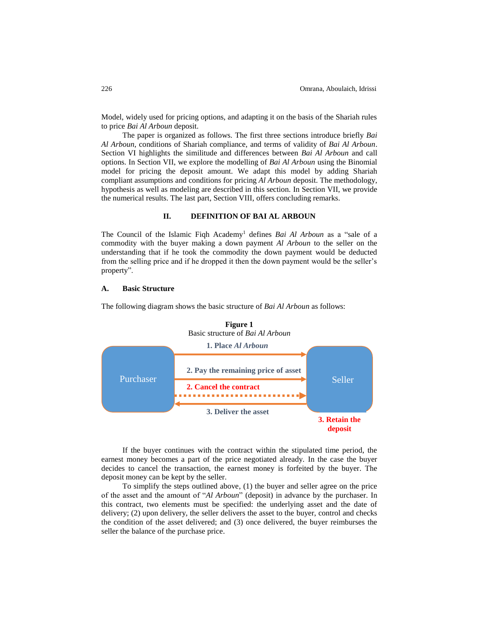Model, widely used for pricing options, and adapting it on the basis of the Shariah rules to price *Bai Al Arboun* deposit.

The paper is organized as follows. The first three sections introduce briefly *Bai Al Arboun*, conditions of Shariah compliance, and terms of validity of *Bai Al Arboun*. Section VI highlights the similitude and differences between *Bai Al Arboun* and call options. In Section VII, we explore the modelling of *Bai Al Arboun* using the Binomial model for pricing the deposit amount. We adapt this model by adding Shariah compliant assumptions and conditions for pricing *Al Arboun* deposit. The methodology, hypothesis as well as modeling are described in this section. In Section VII, we provide the numerical results. The last part, Section VIII, offers concluding remarks.

## **II. DEFINITION OF BAI AL ARBOUN**

The Council of the Islamic Figh Academy<sup>1</sup> defines *Bai Al Arboun* as a "sale of a commodity with the buyer making a down payment *Al Arboun* to the seller on the understanding that if he took the commodity the down payment would be deducted from the selling price and if he dropped it then the down payment would be the seller's property".

# **A. Basic Structure**

The following diagram shows the basic structure of *Bai Al Arboun* as follows:





If the buyer continues with the contract within the stipulated time period, the earnest money becomes a part of the price negotiated already. In the case the buyer decides to cancel the transaction, the earnest money is forfeited by the buyer. The deposit money can be kept by the seller.

To simplify the steps outlined above, (1) the buyer and seller agree on the price of the asset and the amount of "*Al Arboun*" (deposit) in advance by the purchaser. In this contract, two elements must be specified: the underlying asset and the date of delivery; (2) upon delivery, the seller delivers the asset to the buyer, control and checks the condition of the asset delivered; and (3) once delivered, the buyer reimburses the seller the balance of the purchase price.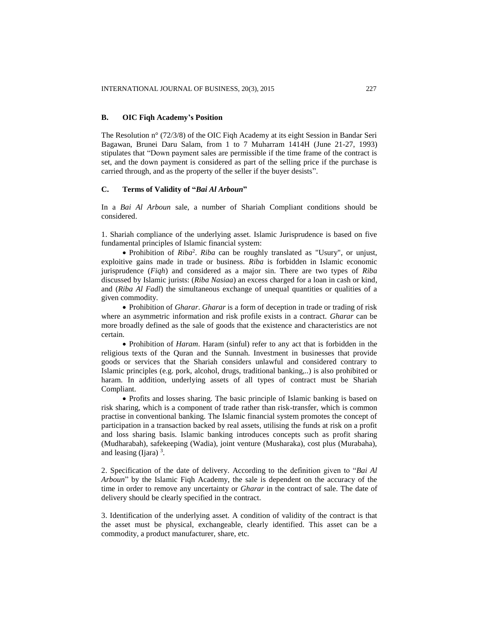# **B. OIC Fiqh Academy's Position**

The Resolution n° (72/3/8) of the OIC Fiqh Academy at its eight Session in Bandar Seri Bagawan, Brunei Daru Salam, from 1 to 7 Muharram 1414H (June 21-27, 1993) stipulates that "Down payment sales are permissible if the time frame of the contract is set, and the down payment is considered as part of the selling price if the purchase is carried through, and as the property of the seller if the buyer desists".

# **C. Terms of Validity of "***Bai Al Arboun***"**

In a *Bai Al Arboun* sale, a number of Shariah Compliant conditions should be considered.

1. Shariah compliance of the underlying asset. Islamic Jurisprudence is based on five fundamental principles of Islamic financial system:

 Prohibition of *Riba*<sup>2</sup> . *Riba* can be roughly translated as "Usury", or unjust, exploitive gains made in trade or business. *Riba* is forbidden in Islamic economic jurisprudence (*Fiqh*) and considered as a major sin. There are two types of *Riba* discussed by Islamic jurists: (*Riba Nasiaa*) an excess charged for a loan in cash or kind, and (*Riba Al Fadl*) the simultaneous exchange of unequal quantities or qualities of a given commodity.

 Prohibition of *Gharar*. *Gharar* is a form of deception in trade or trading of risk where an asymmetric information and risk profile exists in a contract. *Gharar* can be more broadly defined as the sale of goods that the existence and characteristics are not certain.

 Prohibition of *Haram*. Haram (sinful) refer to any act that is forbidden in the religious texts of the Quran and the Sunnah. Investment in businesses that provide goods or services that the Shariah considers unlawful and considered contrary to Islamic principles (e.g. pork, alcohol, drugs, traditional banking,..) is also prohibited or haram. In addition, underlying assets of all types of contract must be Shariah Compliant.

• Profits and losses sharing. The basic principle of Islamic banking is based on risk sharing, which is a component of trade rather than risk-transfer, which is common practise in conventional banking. The Islamic financial system promotes the concept of participation in a transaction backed by real assets, utilising the funds at risk on a profit and loss sharing basis. Islamic banking introduces concepts such as profit sharing (Mudharabah), safekeeping (Wadia), joint venture (Musharaka), cost plus (Murabaha), and leasing (Ijara)  $3$ .

2. Specification of the date of delivery. According to the definition given to "*Bai Al Arboun*" by the Islamic Fiqh Academy, the sale is dependent on the accuracy of the time in order to remove any uncertainty or *Gharar* in the contract of sale. The date of delivery should be clearly specified in the contract.

3. Identification of the underlying asset. A condition of validity of the contract is that the asset must be physical, exchangeable, clearly identified. This asset can be a commodity, a product manufacturer, share, etc.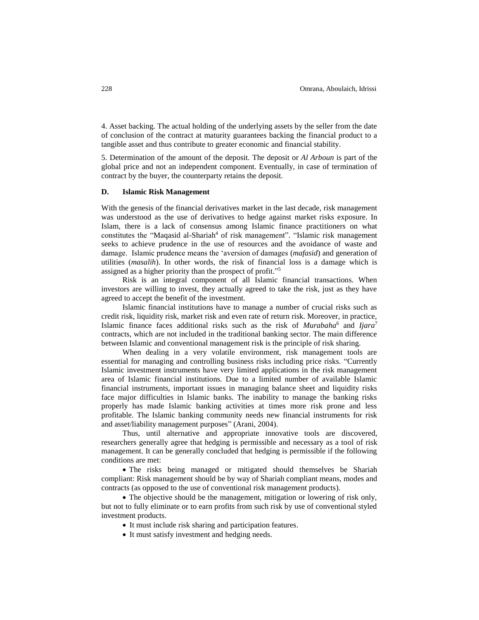4. Asset backing. The actual holding of the underlying assets by the seller from the date of conclusion of the contract at maturity guarantees backing the financial product to a tangible asset and thus contribute to greater economic and financial stability.

5. Determination of the amount of the deposit. The deposit or *Al Arboun* is part of the global price and not an independent component. Eventually, in case of termination of contract by the buyer, the counterparty retains the deposit.

## **D. Islamic Risk Management**

With the genesis of the financial derivatives market in the last decade, risk management was understood as the use of derivatives to hedge against market risks exposure. In Islam, there is a lack of consensus among Islamic finance practitioners on what constitutes the "Maqasid al-Shariah<sup>4</sup> of risk management". "Islamic risk management seeks to achieve prudence in the use of resources and the avoidance of waste and damage. Islamic prudence means the 'aversion of damages (*mafasid*) and generation of utilities (*masalih*). In other words, the risk of financial loss is a damage which is assigned as a higher priority than the prospect of profit."<sup>5</sup>

Risk is an integral component of all Islamic financial transactions. When investors are willing to invest, they actually agreed to take the risk, just as they have agreed to accept the benefit of the investment.

Islamic financial institutions have to manage a number of crucial risks such as credit risk, liquidity risk, market risk and even rate of return risk. Moreover, in practice, Islamic finance faces additional risks such as the risk of *Murabaha*<sup>6</sup> and *Ijara*<sup>7</sup> contracts, which are not included in the traditional banking sector. The main difference between Islamic and conventional management risk is the principle of risk sharing.

When dealing in a very volatile environment, risk management tools are essential for managing and controlling business risks including price risks. "Currently Islamic investment instruments have very limited applications in the risk management area of Islamic financial institutions. Due to a limited number of available Islamic financial instruments, important issues in managing balance sheet and liquidity risks face major difficulties in Islamic banks. The inability to manage the banking risks properly has made Islamic banking activities at times more risk prone and less profitable. The Islamic banking community needs new financial instruments for risk and asset/liability management purposes" (Arani, 2004).

Thus, until alternative and appropriate innovative tools are discovered, researchers generally agree that hedging is permissible and necessary as a tool of risk management. It can be generally concluded that hedging is permissible if the following conditions are met:

 The risks being managed or mitigated should themselves be Shariah compliant: Risk management should be by way of Shariah compliant means, modes and contracts (as opposed to the use of conventional risk management products).

• The objective should be the management, mitigation or lowering of risk only, but not to fully eliminate or to earn profits from such risk by use of conventional styled investment products.

- It must include risk sharing and participation features.
- It must satisfy investment and hedging needs.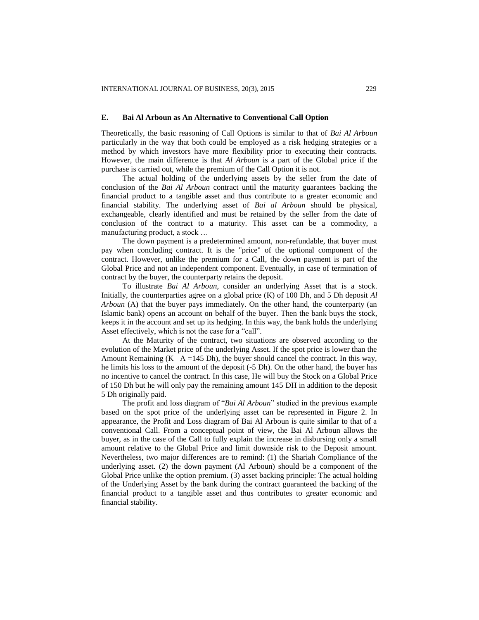## **E. Bai Al Arboun as An Alternative to Conventional Call Option**

Theoretically, the basic reasoning of Call Options is similar to that of *Bai Al Arboun* particularly in the way that both could be employed as a risk hedging strategies or a method by which investors have more flexibility prior to executing their contracts. However, the main difference is that *Al Arboun* is a part of the Global price if the purchase is carried out, while the premium of the Call Option it is not.

The actual holding of the underlying assets by the seller from the date of conclusion of the *Bai Al Arboun* contract until the maturity guarantees backing the financial product to a tangible asset and thus contribute to a greater economic and financial stability. The underlying asset of *Bai al Arboun* should be physical, exchangeable, clearly identified and must be retained by the seller from the date of conclusion of the contract to a maturity. This asset can be a commodity, a manufacturing product, a stock …

The down payment is a predetermined amount, non-refundable, that buyer must pay when concluding contract. It is the "price" of the optional component of the contract. However, unlike the premium for a Call, the down payment is part of the Global Price and not an independent component. Eventually, in case of termination of contract by the buyer, the counterparty retains the deposit.

To illustrate *Bai Al Arboun*, consider an underlying Asset that is a stock. Initially, the counterparties agree on a global price (K) of 100 Dh, and 5 Dh deposit *Al Arboun* (A) that the buyer pays immediately. On the other hand, the counterparty (an Islamic bank) opens an account on behalf of the buyer. Then the bank buys the stock, keeps it in the account and set up its hedging. In this way, the bank holds the underlying Asset effectively, which is not the case for a "call".

At the Maturity of the contract, two situations are observed according to the evolution of the Market price of the underlying Asset. If the spot price is lower than the Amount Remaining  $(K - A = 145 \text{ Dh})$ , the buyer should cancel the contract. In this way, he limits his loss to the amount of the deposit (-5 Dh). On the other hand, the buyer has no incentive to cancel the contract. In this case, He will buy the Stock on a Global Price of 150 Dh but he will only pay the remaining amount 145 DH in addition to the deposit 5 Dh originally paid.

The profit and loss diagram of "*Bai Al Arboun*" studied in the previous example based on the spot price of the underlying asset can be represented in Figure 2. In appearance, the Profit and Loss diagram of Bai Al Arboun is quite similar to that of a conventional Call. From a conceptual point of view, the Bai Al Arboun allows the buyer, as in the case of the Call to fully explain the increase in disbursing only a small amount relative to the Global Price and limit downside risk to the Deposit amount. Nevertheless, two major differences are to remind: (1) the Shariah Compliance of the underlying asset. (2) the down payment (Al Arboun) should be a component of the Global Price unlike the option premium. (3) asset backing principle: The actual holding of the Underlying Asset by the bank during the contract guaranteed the backing of the financial product to a tangible asset and thus contributes to greater economic and financial stability.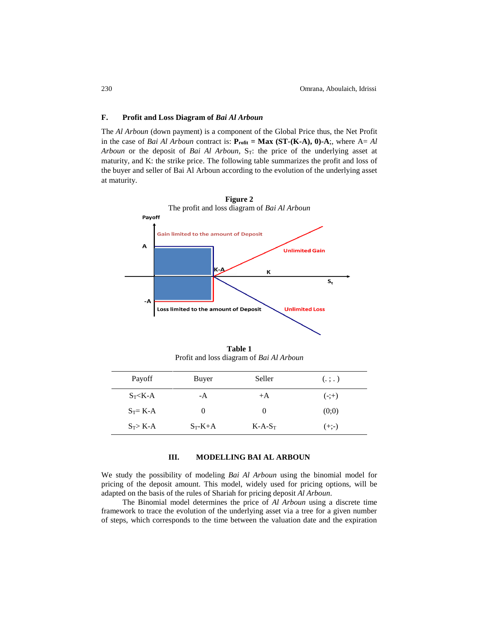## **F. Profit and Loss Diagram of** *Bai Al Arboun*

The *Al Arboun* (down payment) is a component of the Global Price thus, the Net Profit in the case of *Bai Al Arboun* contract is:  $P_{\text{rofit}} = \text{Max (ST-(K-A), 0)-A}$ ;, where A= Al *Arboun* or the deposit of *Bai Al Arboun*, S<sub>T</sub>: the price of the underlying asset at maturity, and K: the strike price. The following table summarizes the profit and loss of the buyer and seller of Bai Al Arboun according to the evolution of the underlying asset at maturity.



**Table 1** Profit and loss diagram of *Bai Al Arboun*

| Payoff      | Buyer     | Seller    | (.;.)   |
|-------------|-----------|-----------|---------|
| $S_T < K-A$ | -A        | $+A$      | $(-;+)$ |
| $S_T = K-A$ | $\theta$  | $\theta$  | (0;0)   |
| $S_T > K-A$ | $S_T-K+A$ | $K-A-S_T$ | $(+;-)$ |

# **III. MODELLING BAI AL ARBOUN**

We study the possibility of modeling *Bai Al Arboun* using the binomial model for pricing of the deposit amount. This model, widely used for pricing options, will be adapted on the basis of the rules of Shariah for pricing deposit *Al Arboun*.

The Binomial model determines the price of *Al Arboun* using a discrete time framework to trace the evolution of the underlying asset via a tree for a given number of steps, which corresponds to the time between the valuation date and the expiration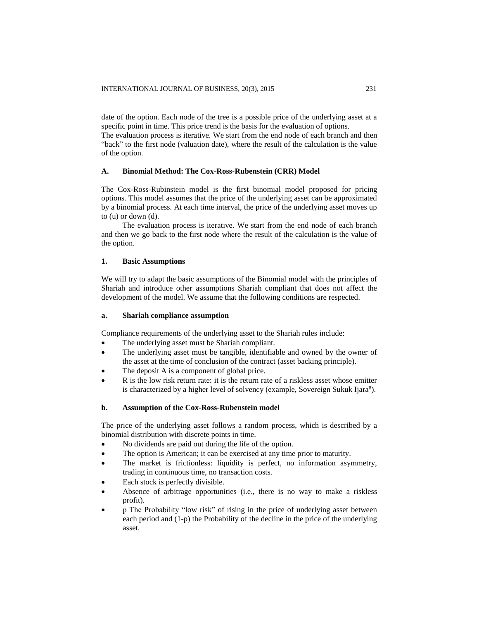date of the option. Each node of the tree is a possible price of the underlying asset at a specific point in time. This price trend is the basis for the evaluation of options.

The evaluation process is iterative. We start from the end node of each branch and then "back" to the first node (valuation date), where the result of the calculation is the value of the option.

## **A. Binomial Method: The Cox-Ross-Rubenstein (CRR) Model**

The Cox-Ross-Rubinstein model is the first binomial model proposed for pricing options. This model assumes that the price of the underlying asset can be approximated by a binomial process. At each time interval, the price of the underlying asset moves up to (u) or down (d).

The evaluation process is iterative. We start from the end node of each branch and then we go back to the first node where the result of the calculation is the value of the option.

## **1. Basic Assumptions**

We will try to adapt the basic assumptions of the Binomial model with the principles of Shariah and introduce other assumptions Shariah compliant that does not affect the development of the model. We assume that the following conditions are respected.

## **a. Shariah compliance assumption**

Compliance requirements of the underlying asset to the Shariah rules include:

- The underlying asset must be Shariah compliant.
- The underlying asset must be tangible, identifiable and owned by the owner of the asset at the time of conclusion of the contract (asset backing principle).
- The deposit A is a component of global price.
- R is the low risk return rate: it is the return rate of a riskless asset whose emitter is characterized by a higher level of solvency (example, Sovereign Sukuk Ijara<sup>8</sup>).

## **b. Assumption of the Cox-Ross-Rubenstein model**

The price of the underlying asset follows a random process, which is described by a binomial distribution with discrete points in time.

- No dividends are paid out during the life of the option.
- The option is American; it can be exercised at any time prior to maturity.
- The market is frictionless: liquidity is perfect, no information asymmetry, trading in continuous time, no transaction costs.
- Each stock is perfectly divisible.
- Absence of arbitrage opportunities (i.e., there is no way to make a riskless profit).
- p The Probability "low risk" of rising in the price of underlying asset between each period and (1-p) the Probability of the decline in the price of the underlying asset.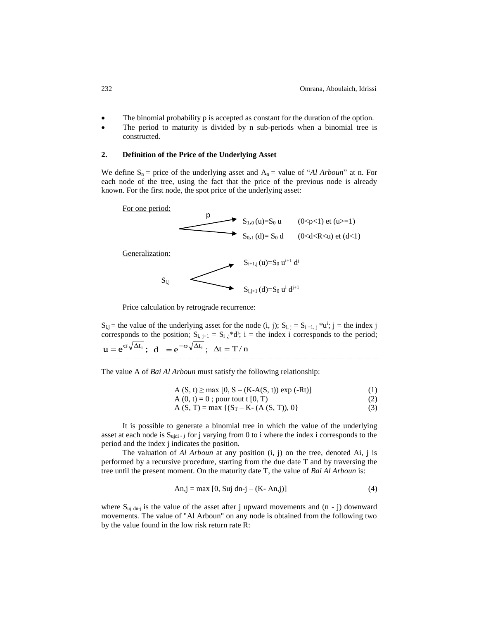- The binomial probability p is accepted as constant for the duration of the option.
- The period to maturity is divided by n sub-periods when a binomial tree is constructed.

#### **2. Definition of the Price of the Underlying Asset**

We define  $S_n$  = price of the underlying asset and  $A_n$  = value of "*Al Arboun*" at n. For each node of the tree, using the fact that the price of the previous node is already known. For the first node, the spot price of the underlying asset:



Price calculation by retrograde recurrence:

 $S_{i,j}$  = the value of the underlying asset for the node (i, j);  $S_{i,j} = S_{i-1,j} * u^{i}$ ; j = the index j corresponds to the position;  $S_{i, i+1} = S_{i, j} * d^{i}$ ; i = the index i corresponds to the period;  $u = e^{\sigma \sqrt{\Delta t_i}}$ ;  $d = e^{-\sigma \sqrt{\Delta t_i}}$ ;  $\Delta t = T/n$ 

The value A of *Bai Al Arboun* must satisfy the following relationship:

$$
A(S, t) \ge \max [0, S - (K-A(S, t)) \exp(-Rt)]
$$
 (1)

$$
A(0, t) = 0; \text{ pour tout } t [0, T)
$$
\n(2)

 $A(S, T) = max \{ (S_T - K - (A(S, T)), 0) \}$  (3)

It is possible to generate a binomial tree in which the value of the underlying asset at each node is Sujdi **- <sup>j</sup>** for j varying from 0 to i where the index i corresponds to the period and the index j indicates the position.

The valuation of *Al Arboun* at any position (i, j) on the tree, denoted Ai, j is performed by a recursive procedure, starting from the due date T and by traversing the tree until the present moment. On the maturity date T, the value of *Bai Al Arboun* is:

$$
An, j = max [0, Suj dn-j - (K - An, j)]
$$
 (4)

where  $S_{uj \text{dn}-j}$  is the value of the asset after j upward movements and  $(n - j)$  downward movements. The value of "Al Arboun" on any node is obtained from the following two by the value found in the low risk return rate R: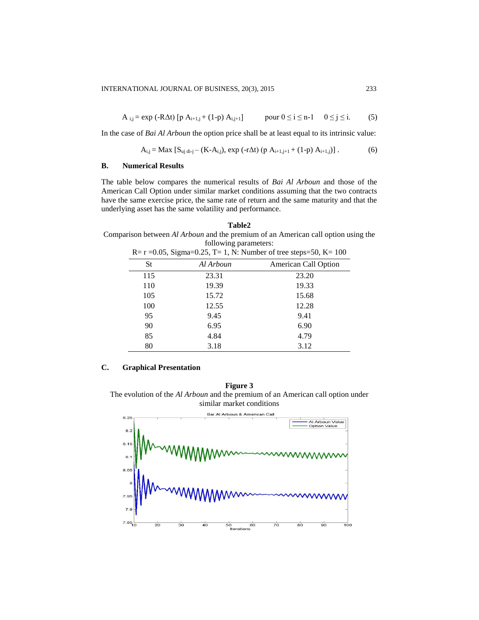$$
A_{i,j} = \exp(-R\Delta t) \left[ p A_{i+1,j} + (1-p) A_{i,j+1} \right] \qquad \text{pour } 0 \le i \le n-1 \quad 0 \le j \le i. \tag{5}
$$

In the case of *Bai Al Arboun* the option price shall be at least equal to its intrinsic value:

$$
A_{i,j} = Max [S_{uj di-j} - (K-A_{i,j}), exp (-r\Delta t) (p A_{i+1,j+1} + (1-p) A_{i+1,j})]. \tag{6}
$$

# **B. Numerical Results**

The table below compares the numerical results of *Bai Al Arboun* and those of the American Call Option under similar market conditions assuming that the two contracts have the same exercise price, the same rate of return and the same maturity and that the underlying asset has the same volatility and performance.

#### **Table2**

Comparison between *Al Arboun* and the premium of an American call option using the following parameters:

| $R = r = 0.05$ , Sigma=0.25, T= 1, N: Number of tree steps=50, K= 100 |           |                      |  |
|-----------------------------------------------------------------------|-----------|----------------------|--|
| St                                                                    | Al Arboun | American Call Option |  |
| 115                                                                   | 23.31     | 23.20                |  |
| 110                                                                   | 19.39     | 19.33                |  |
| 105                                                                   | 15.72     | 15.68                |  |
| 100                                                                   | 12.55     | 12.28                |  |
| 95                                                                    | 9.45      | 9.41                 |  |
| 90                                                                    | 6.95      | 6.90                 |  |
| 85                                                                    | 4.84      | 4.79                 |  |
| 80                                                                    | 3.18      | 3.12                 |  |
|                                                                       |           |                      |  |

# **C. Graphical Presentation**

**Figure 3** The evolution of the *Al Arboun* and the premium of an American call option under similar market conditions

Bai Al Arboun & American Call  $8.25$ \_\_\_\_\_\_\_\_<br>Al Arboun Valu<br>Option Value  $8.2$  $8.1$ 8. 8.0  $7.85$  $\frac{1}{50}$ <br>Iteratio  $\frac{1}{20}$  $\frac{1}{30}$  $40$ 70  $80$  $\frac{1}{90}$ 100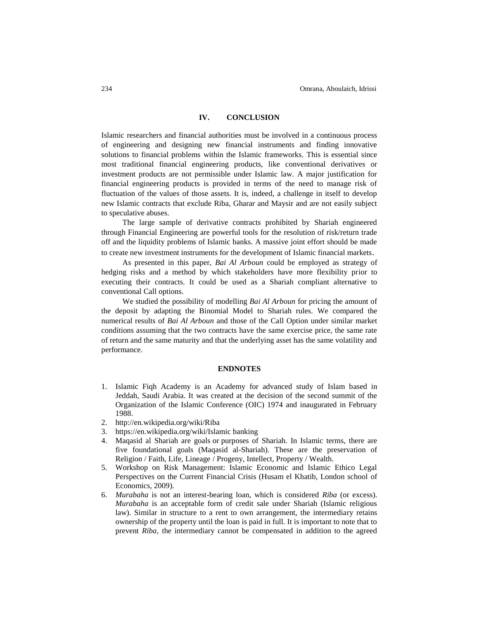# **IV. CONCLUSION**

Islamic researchers and financial authorities must be involved in a continuous process of engineering and designing new financial instruments and finding innovative solutions to financial problems within the Islamic frameworks. This is essential since most traditional financial engineering products, like conventional derivatives or investment products are not permissible under Islamic law. A major justification for financial engineering products is provided in terms of the need to manage risk of fluctuation of the values of those assets. It is, indeed, a challenge in itself to develop new Islamic contracts that exclude Riba, Gharar and Maysir and are not easily subject to speculative abuses.

The large sample of derivative contracts prohibited by Shariah engineered through Financial Engineering are powerful tools for the resolution of risk/return trade off and the liquidity problems of Islamic banks. A massive joint effort should be made to create new investment instruments for the development of Islamic financial markets.

As presented in this paper, *Bai Al Arboun* could be employed as strategy of hedging risks and a method by which stakeholders have more flexibility prior to executing their contracts. It could be used as a Shariah compliant alternative to conventional Call options.

We studied the possibility of modelling *Bai Al Arboun* for pricing the amount of the deposit by adapting the Binomial Model to Shariah rules. We compared the numerical results of *Bai Al Arboun* and those of the Call Option under similar market conditions assuming that the two contracts have the same exercise price, the same rate of return and the same maturity and that the underlying asset has the same volatility and performance.

## **ENDNOTES**

- 1. Islamic Fiqh Academy is an Academy for advanced study of Islam based in Jeddah, Saudi Arabia. It was created at the decision of the second summit of the Organization of the Islamic Conference (OIC) 1974 and inaugurated in February 1988.
- 2. <http://en.wikipedia.org/wiki/Riba>
- 3. https://en.wikipedia.org/wiki/Islamic banking
- 4. Maqasid al Shariah are goals or purposes of Shariah. In Islamic terms, there are five foundational goals (Maqasid al-Shariah). These are the preservation of Religion / Faith, Life, Lineage / Progeny, [Intellect,](http://en.wikipedia.org/wiki/Intellect) Property / Wealth.
- 5. Workshop on Risk Management: Islamic Economic and Islamic Ethico Legal Perspectives on the Current Financial Crisis (Husam el Khatib, London school of Economics, 2009).
- 6. *Murabaha* is not an interest-bearing loan, which is considered *Riba* (or excess). *Murabaha* is an acceptable form of credit sale under Shariah (Islamic religious law). Similar in structure to a rent to own arrangement, the intermediary retains ownership of the property until the loan is paid in full. It is important to note that to prevent *Riba*, the intermediary cannot be compensated in addition to the agreed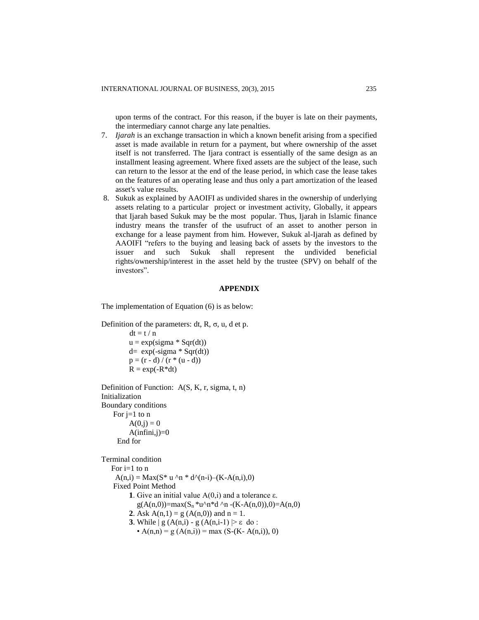upon terms of the contract. For this reason, if the buyer is late on their payments, the intermediary cannot charge any late penalties.

- 7. *Ijarah* is an exchange transaction in which a known benefit arising from a specified asset is made available in return for a payment, but where ownership of the asset itself is not transferred. The Ijara contract is essentially of the same design as an installment leasing agreement. Where fixed assets are the subject of the lease, such can return to the lessor at the end of the lease period, in which case the lease takes on the features of an operating lease and thus only a part amortization of the leased asset's value results.
- 8. Sukuk as explained by AAOIFI as undivided shares in the ownership of underlying assets relating to a particular project or investment activity, Globally, it appears that Ijarah based Sukuk may be the most popular. Thus, Ijarah in Islamic finance industry means the transfer of the usufruct of an asset to another person in exchange for a lease payment from him. However, Sukuk al-Ijarah as defined by AAOIFI "refers to the buying and leasing back of assets by the investors to the issuer and such Sukuk shall represent the undivided beneficial rights/ownership/interest in the asset held by the trustee (SPV) on behalf of the investors".

## **APPENDIX**

The implementation of Equation (6) is as below:

```
Definition of the parameters: dt, R, \sigma, u, d et p.
```
 $dt = t / n$  $u = exp(signa * Sqr(dt))$  $d= exp(-sigma * Sqr(dt))$  $p = (r - d) / (r * (u - d))$  $R = exp(-R^*dt)$ 

```
Definition of Function: A(S, K, r, sigma, t, n)
Initialization 
Boundary conditions
   For j=1 to nA(0,i) = 0A(infini,j)=0 End for
```
Terminal condition

For  $i=1$  to  $n$  $A(n,i) = Max(S^* u^n n * d^n(n-i) – (K-A(n,i),0))$  Fixed Point Method **1**. Give an initial value  $A(0,i)$  and a tolerance ε.  $g(A(n,0))=max(S_n *u^n *d^n n -(K-A(n,0)),0)=A(n,0)$ **2**. Ask  $A(n,1) = g(A(n,0))$  and  $n = 1$ . **3**. While  $g(A(n,i) - g(A(n,i-1)) \geq \varepsilon$  do: •  $A(n,n) = g(A(n,i)) = max (S-(K-A(n,i)), 0)$